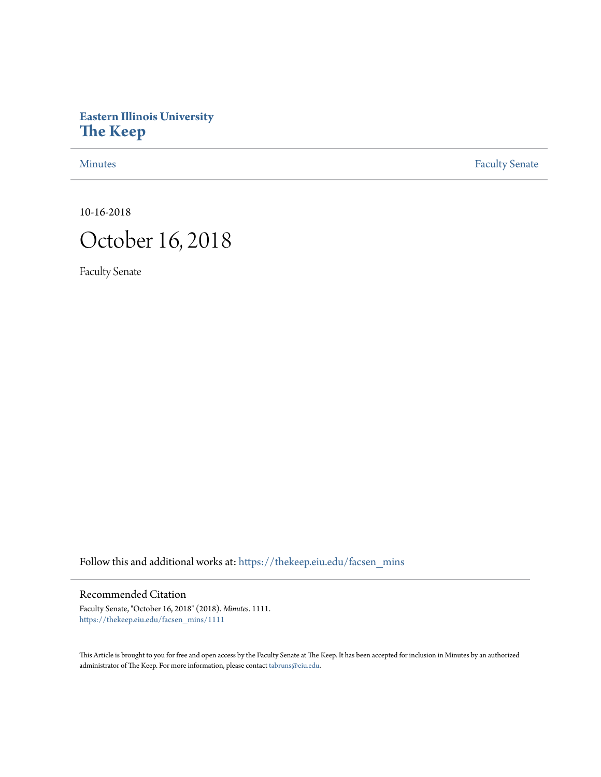## **Eastern Illinois University [The Keep](https://thekeep.eiu.edu?utm_source=thekeep.eiu.edu%2Ffacsen_mins%2F1111&utm_medium=PDF&utm_campaign=PDFCoverPages)**

[Minutes](https://thekeep.eiu.edu/facsen_mins?utm_source=thekeep.eiu.edu%2Ffacsen_mins%2F1111&utm_medium=PDF&utm_campaign=PDFCoverPages) **[Faculty Senate](https://thekeep.eiu.edu/fac_senate?utm_source=thekeep.eiu.edu%2Ffacsen_mins%2F1111&utm_medium=PDF&utm_campaign=PDFCoverPages)** 

10-16-2018

## October 16, 2018

Faculty Senate

Follow this and additional works at: [https://thekeep.eiu.edu/facsen\\_mins](https://thekeep.eiu.edu/facsen_mins?utm_source=thekeep.eiu.edu%2Ffacsen_mins%2F1111&utm_medium=PDF&utm_campaign=PDFCoverPages)

## Recommended Citation

Faculty Senate, "October 16, 2018" (2018). *Minutes*. 1111. [https://thekeep.eiu.edu/facsen\\_mins/1111](https://thekeep.eiu.edu/facsen_mins/1111?utm_source=thekeep.eiu.edu%2Ffacsen_mins%2F1111&utm_medium=PDF&utm_campaign=PDFCoverPages)

This Article is brought to you for free and open access by the Faculty Senate at The Keep. It has been accepted for inclusion in Minutes by an authorized administrator of The Keep. For more information, please contact [tabruns@eiu.edu.](mailto:tabruns@eiu.edu)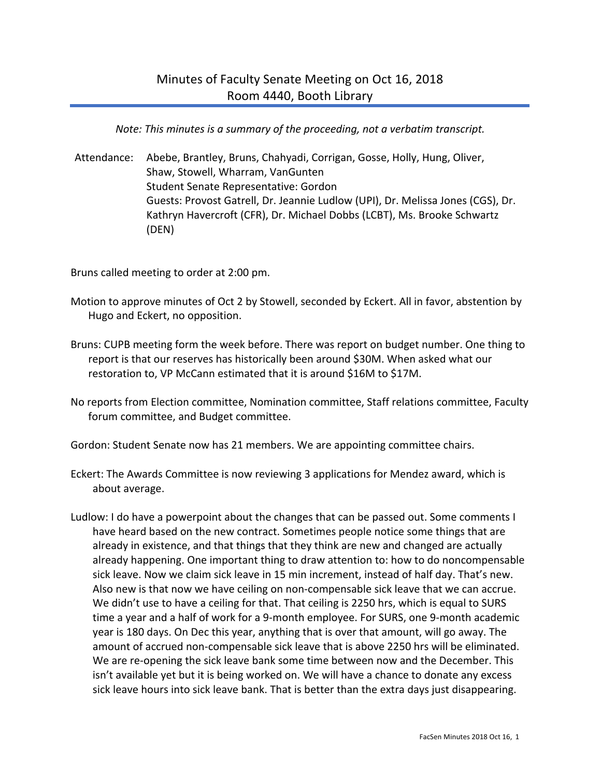*Note: This minutes is a summary of the proceeding, not a verbatim transcript.*

Attendance: Abebe, Brantley, Bruns, Chahyadi, Corrigan, Gosse, Holly, Hung, Oliver, Shaw, Stowell, Wharram, VanGunten Student Senate Representative: Gordon Guests: Provost Gatrell, Dr. Jeannie Ludlow (UPI), Dr. Melissa Jones (CGS), Dr. Kathryn Havercroft (CFR), Dr. Michael Dobbs (LCBT), Ms. Brooke Schwartz (DEN)

Bruns called meeting to order at 2:00 pm.

- Motion to approve minutes of Oct 2 by Stowell, seconded by Eckert. All in favor, abstention by Hugo and Eckert, no opposition.
- Bruns: CUPB meeting form the week before. There was report on budget number. One thing to report is that our reserves has historically been around \$30M. When asked what our restoration to, VP McCann estimated that it is around \$16M to \$17M.
- No reports from Election committee, Nomination committee, Staff relations committee, Faculty forum committee, and Budget committee.

Gordon: Student Senate now has 21 members. We are appointing committee chairs.

- Eckert: The Awards Committee is now reviewing 3 applications for Mendez award, which is about average.
- Ludlow: I do have a powerpoint about the changes that can be passed out. Some comments I have heard based on the new contract. Sometimes people notice some things that are already in existence, and that things that they think are new and changed are actually already happening. One important thing to draw attention to: how to do noncompensable sick leave. Now we claim sick leave in 15 min increment, instead of half day. That's new. Also new is that now we have ceiling on non-compensable sick leave that we can accrue. We didn't use to have a ceiling for that. That ceiling is 2250 hrs, which is equal to SURS time a year and a half of work for a 9-month employee. For SURS, one 9-month academic year is 180 days. On Dec this year, anything that is over that amount, will go away. The amount of accrued non-compensable sick leave that is above 2250 hrs will be eliminated. We are re-opening the sick leave bank some time between now and the December. This isn't available yet but it is being worked on. We will have a chance to donate any excess sick leave hours into sick leave bank. That is better than the extra days just disappearing.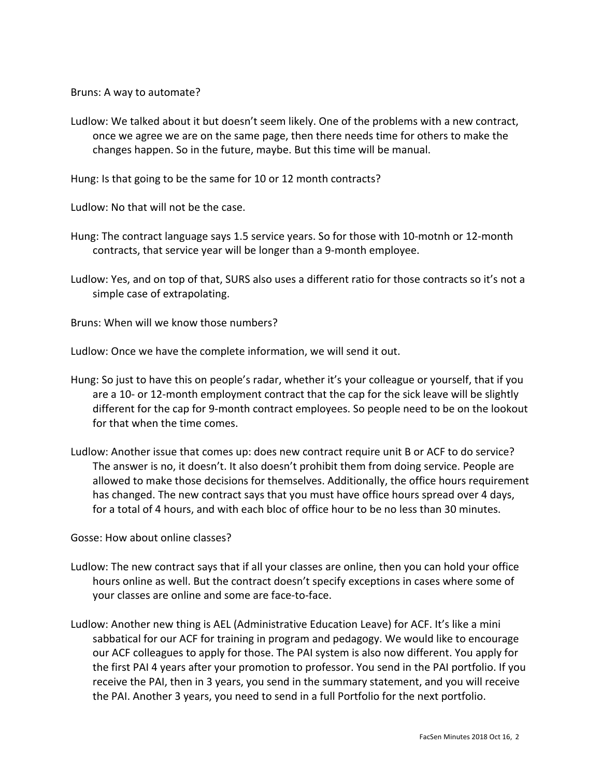Bruns: A way to automate?

Ludlow: We talked about it but doesn't seem likely. One of the problems with a new contract, once we agree we are on the same page, then there needs time for others to make the changes happen. So in the future, maybe. But this time will be manual.

Hung: Is that going to be the same for 10 or 12 month contracts?

Ludlow: No that will not be the case.

- Hung: The contract language says 1.5 service years. So for those with 10-motnh or 12-month contracts, that service year will be longer than a 9-month employee.
- Ludlow: Yes, and on top of that, SURS also uses a different ratio for those contracts so it's not a simple case of extrapolating.

Bruns: When will we know those numbers?

Ludlow: Once we have the complete information, we will send it out.

- Hung: So just to have this on people's radar, whether it's your colleague or yourself, that if you are a 10- or 12-month employment contract that the cap for the sick leave will be slightly different for the cap for 9-month contract employees. So people need to be on the lookout for that when the time comes.
- Ludlow: Another issue that comes up: does new contract require unit B or ACF to do service? The answer is no, it doesn't. It also doesn't prohibit them from doing service. People are allowed to make those decisions for themselves. Additionally, the office hours requirement has changed. The new contract says that you must have office hours spread over 4 days, for a total of 4 hours, and with each bloc of office hour to be no less than 30 minutes.

Gosse: How about online classes?

- Ludlow: The new contract says that if all your classes are online, then you can hold your office hours online as well. But the contract doesn't specify exceptions in cases where some of your classes are online and some are face-to-face.
- Ludlow: Another new thing is AEL (Administrative Education Leave) for ACF. It's like a mini sabbatical for our ACF for training in program and pedagogy. We would like to encourage our ACF colleagues to apply for those. The PAI system is also now different. You apply for the first PAI 4 years after your promotion to professor. You send in the PAI portfolio. If you receive the PAI, then in 3 years, you send in the summary statement, and you will receive the PAI. Another 3 years, you need to send in a full Portfolio for the next portfolio.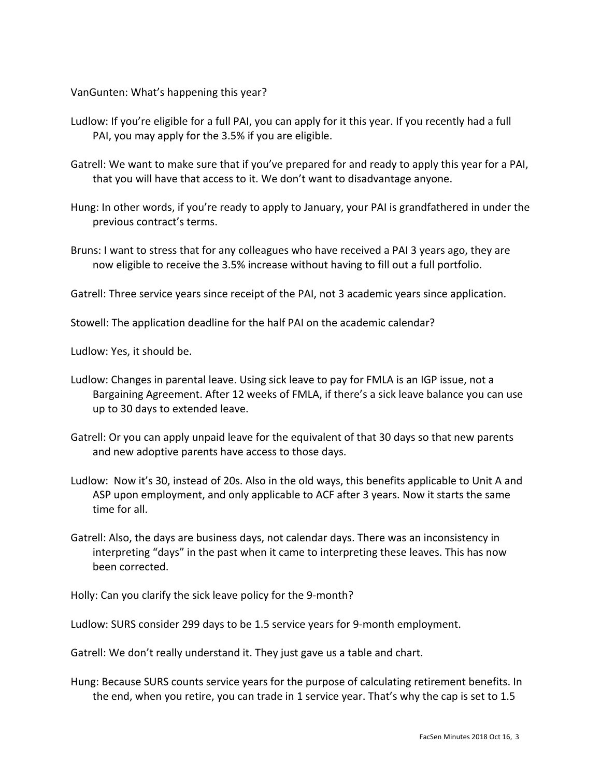VanGunten: What's happening this year?

- Ludlow: If you're eligible for a full PAI, you can apply for it this year. If you recently had a full PAI, you may apply for the 3.5% if you are eligible.
- Gatrell: We want to make sure that if you've prepared for and ready to apply this year for a PAI, that you will have that access to it. We don't want to disadvantage anyone.
- Hung: In other words, if you're ready to apply to January, your PAI is grandfathered in under the previous contract's terms.
- Bruns: I want to stress that for any colleagues who have received a PAI 3 years ago, they are now eligible to receive the 3.5% increase without having to fill out a full portfolio.

Gatrell: Three service years since receipt of the PAI, not 3 academic years since application.

Stowell: The application deadline for the half PAI on the academic calendar?

Ludlow: Yes, it should be.

- Ludlow: Changes in parental leave. Using sick leave to pay for FMLA is an IGP issue, not a Bargaining Agreement. After 12 weeks of FMLA, if there's a sick leave balance you can use up to 30 days to extended leave.
- Gatrell: Or you can apply unpaid leave for the equivalent of that 30 days so that new parents and new adoptive parents have access to those days.
- Ludlow: Now it's 30, instead of 20s. Also in the old ways, this benefits applicable to Unit A and ASP upon employment, and only applicable to ACF after 3 years. Now it starts the same time for all.
- Gatrell: Also, the days are business days, not calendar days. There was an inconsistency in interpreting "days" in the past when it came to interpreting these leaves. This has now been corrected.

Holly: Can you clarify the sick leave policy for the 9-month?

Ludlow: SURS consider 299 days to be 1.5 service years for 9-month employment.

Gatrell: We don't really understand it. They just gave us a table and chart.

Hung: Because SURS counts service years for the purpose of calculating retirement benefits. In the end, when you retire, you can trade in 1 service year. That's why the cap is set to 1.5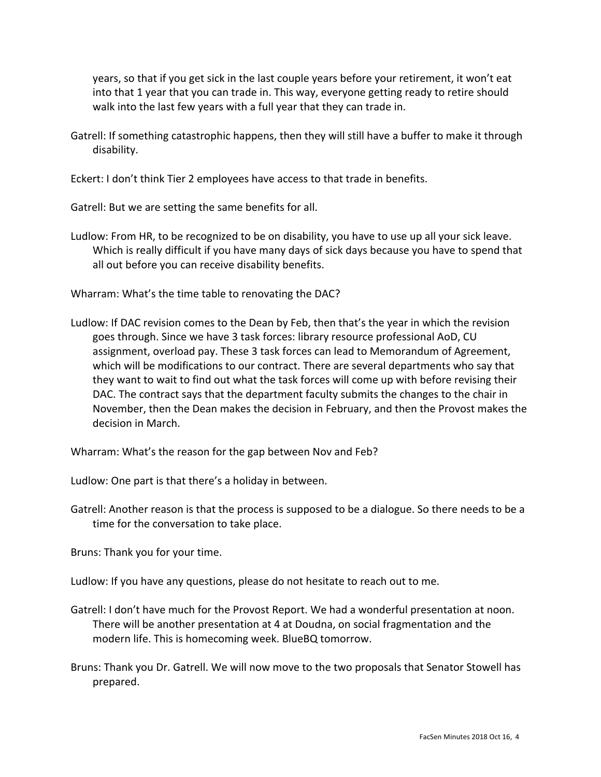years, so that if you get sick in the last couple years before your retirement, it won't eat into that 1 year that you can trade in. This way, everyone getting ready to retire should walk into the last few years with a full year that they can trade in.

Gatrell: If something catastrophic happens, then they will still have a buffer to make it through disability.

Eckert: I don't think Tier 2 employees have access to that trade in benefits.

Gatrell: But we are setting the same benefits for all.

- Ludlow: From HR, to be recognized to be on disability, you have to use up all your sick leave. Which is really difficult if you have many days of sick days because you have to spend that all out before you can receive disability benefits.
- Wharram: What's the time table to renovating the DAC?
- Ludlow: If DAC revision comes to the Dean by Feb, then that's the year in which the revision goes through. Since we have 3 task forces: library resource professional AoD, CU assignment, overload pay. These 3 task forces can lead to Memorandum of Agreement, which will be modifications to our contract. There are several departments who say that they want to wait to find out what the task forces will come up with before revising their DAC. The contract says that the department faculty submits the changes to the chair in November, then the Dean makes the decision in February, and then the Provost makes the decision in March.

Wharram: What's the reason for the gap between Nov and Feb?

Ludlow: One part is that there's a holiday in between.

Gatrell: Another reason is that the process is supposed to be a dialogue. So there needs to be a time for the conversation to take place.

Bruns: Thank you for your time.

Ludlow: If you have any questions, please do not hesitate to reach out to me.

- Gatrell: I don't have much for the Provost Report. We had a wonderful presentation at noon. There will be another presentation at 4 at Doudna, on social fragmentation and the modern life. This is homecoming week. BlueBQ tomorrow.
- Bruns: Thank you Dr. Gatrell. We will now move to the two proposals that Senator Stowell has prepared.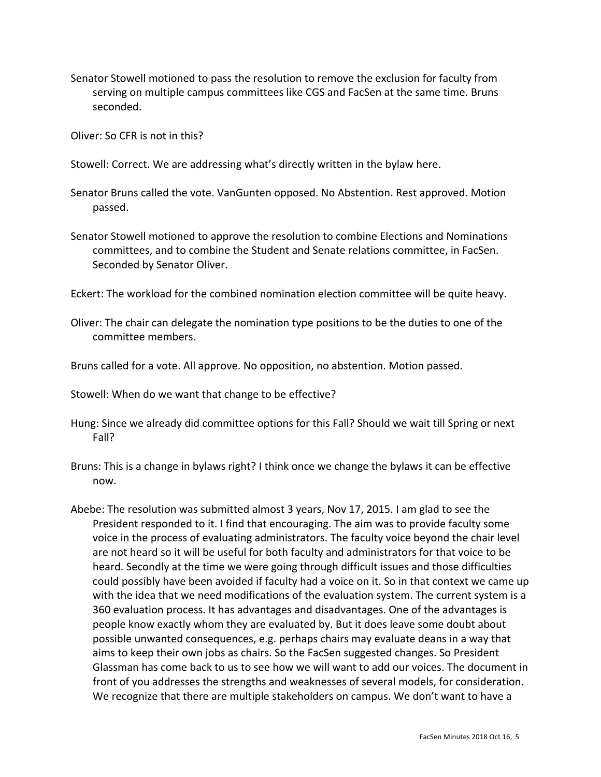Senator Stowell motioned to pass the resolution to remove the exclusion for faculty from serving on multiple campus committees like CGS and FacSen at the same time. Bruns seconded.

Oliver: So CFR is not in this?

Stowell: Correct. We are addressing what's directly written in the bylaw here.

Senator Bruns called the vote. VanGunten opposed. No Abstention. Rest approved. Motion passed.

Senator Stowell motioned to approve the resolution to combine Elections and Nominations committees, and to combine the Student and Senate relations committee, in FacSen. Seconded by Senator Oliver.

Eckert: The workload for the combined nomination election committee will be quite heavy.

Oliver: The chair can delegate the nomination type positions to be the duties to one of the committee members.

Bruns called for a vote. All approve. No opposition, no abstention. Motion passed.

Stowell: When do we want that change to be effective?

- Hung: Since we already did committee options for this Fall? Should we wait till Spring or next Fall?
- Bruns: This is a change in bylaws right? I think once we change the bylaws it can be effective now.
- Abebe: The resolution was submitted almost 3 years, Nov 17, 2015. I am glad to see the President responded to it. I find that encouraging. The aim was to provide faculty some voice in the process of evaluating administrators. The faculty voice beyond the chair level are not heard so it will be useful for both faculty and administrators for that voice to be heard. Secondly at the time we were going through difficult issues and those difficulties could possibly have been avoided if faculty had a voice on it. So in that context we came up with the idea that we need modifications of the evaluation system. The current system is a 360 evaluation process. It has advantages and disadvantages. One of the advantages is people know exactly whom they are evaluated by. But it does leave some doubt about possible unwanted consequences, e.g. perhaps chairs may evaluate deans in a way that aims to keep their own jobs as chairs. So the FacSen suggested changes. So President Glassman has come back to us to see how we will want to add our voices. The document in front of you addresses the strengths and weaknesses of several models, for consideration. We recognize that there are multiple stakeholders on campus. We don't want to have a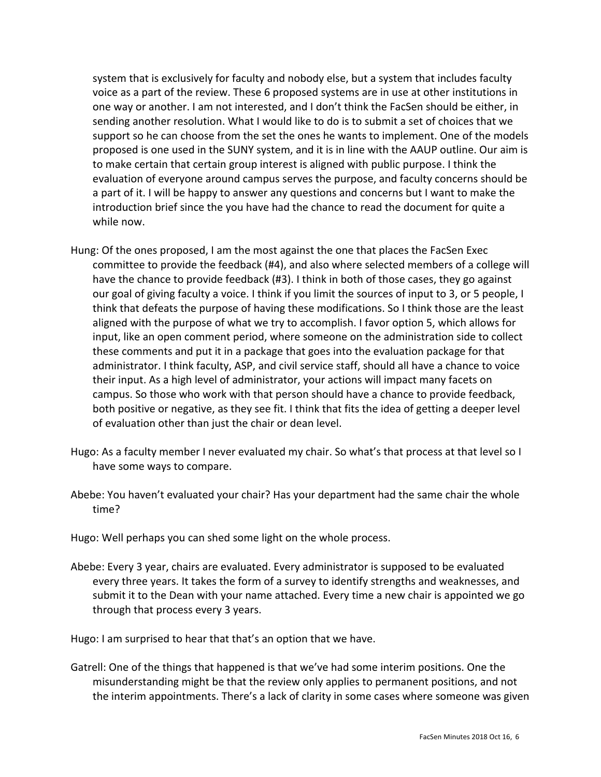system that is exclusively for faculty and nobody else, but a system that includes faculty voice as a part of the review. These 6 proposed systems are in use at other institutions in one way or another. I am not interested, and I don't think the FacSen should be either, in sending another resolution. What I would like to do is to submit a set of choices that we support so he can choose from the set the ones he wants to implement. One of the models proposed is one used in the SUNY system, and it is in line with the AAUP outline. Our aim is to make certain that certain group interest is aligned with public purpose. I think the evaluation of everyone around campus serves the purpose, and faculty concerns should be a part of it. I will be happy to answer any questions and concerns but I want to make the introduction brief since the you have had the chance to read the document for quite a while now.

- Hung: Of the ones proposed, I am the most against the one that places the FacSen Exec committee to provide the feedback (#4), and also where selected members of a college will have the chance to provide feedback (#3). I think in both of those cases, they go against our goal of giving faculty a voice. I think if you limit the sources of input to 3, or 5 people, I think that defeats the purpose of having these modifications. So I think those are the least aligned with the purpose of what we try to accomplish. I favor option 5, which allows for input, like an open comment period, where someone on the administration side to collect these comments and put it in a package that goes into the evaluation package for that administrator. I think faculty, ASP, and civil service staff, should all have a chance to voice their input. As a high level of administrator, your actions will impact many facets on campus. So those who work with that person should have a chance to provide feedback, both positive or negative, as they see fit. I think that fits the idea of getting a deeper level of evaluation other than just the chair or dean level.
- Hugo: As a faculty member I never evaluated my chair. So what's that process at that level so I have some ways to compare.
- Abebe: You haven't evaluated your chair? Has your department had the same chair the whole time?

Hugo: Well perhaps you can shed some light on the whole process.

Abebe: Every 3 year, chairs are evaluated. Every administrator is supposed to be evaluated every three years. It takes the form of a survey to identify strengths and weaknesses, and submit it to the Dean with your name attached. Every time a new chair is appointed we go through that process every 3 years.

Hugo: I am surprised to hear that that's an option that we have.

Gatrell: One of the things that happened is that we've had some interim positions. One the misunderstanding might be that the review only applies to permanent positions, and not the interim appointments. There's a lack of clarity in some cases where someone was given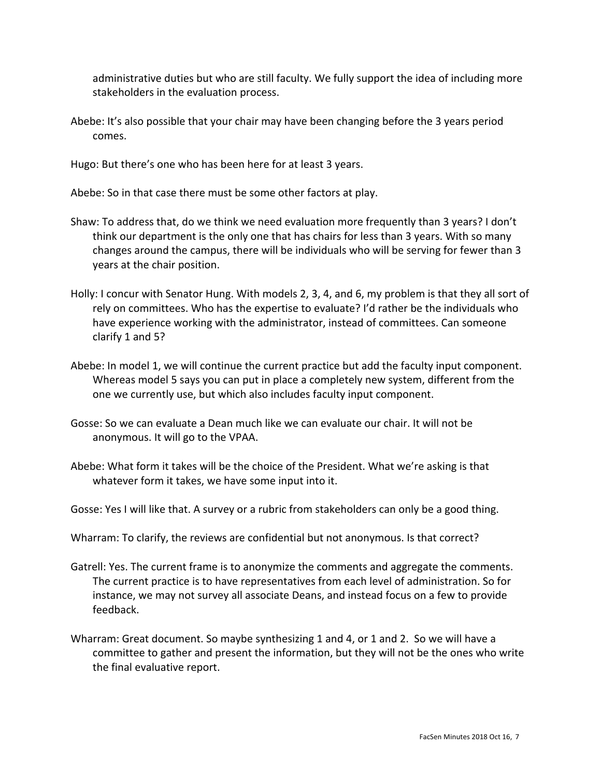administrative duties but who are still faculty. We fully support the idea of including more stakeholders in the evaluation process.

Abebe: It's also possible that your chair may have been changing before the 3 years period comes.

Hugo: But there's one who has been here for at least 3 years.

Abebe: So in that case there must be some other factors at play.

- Shaw: To address that, do we think we need evaluation more frequently than 3 years? I don't think our department is the only one that has chairs for less than 3 years. With so many changes around the campus, there will be individuals who will be serving for fewer than 3 years at the chair position.
- Holly: I concur with Senator Hung. With models 2, 3, 4, and 6, my problem is that they all sort of rely on committees. Who has the expertise to evaluate? I'd rather be the individuals who have experience working with the administrator, instead of committees. Can someone clarify 1 and 5?
- Abebe: In model 1, we will continue the current practice but add the faculty input component. Whereas model 5 says you can put in place a completely new system, different from the one we currently use, but which also includes faculty input component.
- Gosse: So we can evaluate a Dean much like we can evaluate our chair. It will not be anonymous. It will go to the VPAA.
- Abebe: What form it takes will be the choice of the President. What we're asking is that whatever form it takes, we have some input into it.
- Gosse: Yes I will like that. A survey or a rubric from stakeholders can only be a good thing.
- Wharram: To clarify, the reviews are confidential but not anonymous. Is that correct?
- Gatrell: Yes. The current frame is to anonymize the comments and aggregate the comments. The current practice is to have representatives from each level of administration. So for instance, we may not survey all associate Deans, and instead focus on a few to provide feedback.
- Wharram: Great document. So maybe synthesizing 1 and 4, or 1 and 2. So we will have a committee to gather and present the information, but they will not be the ones who write the final evaluative report.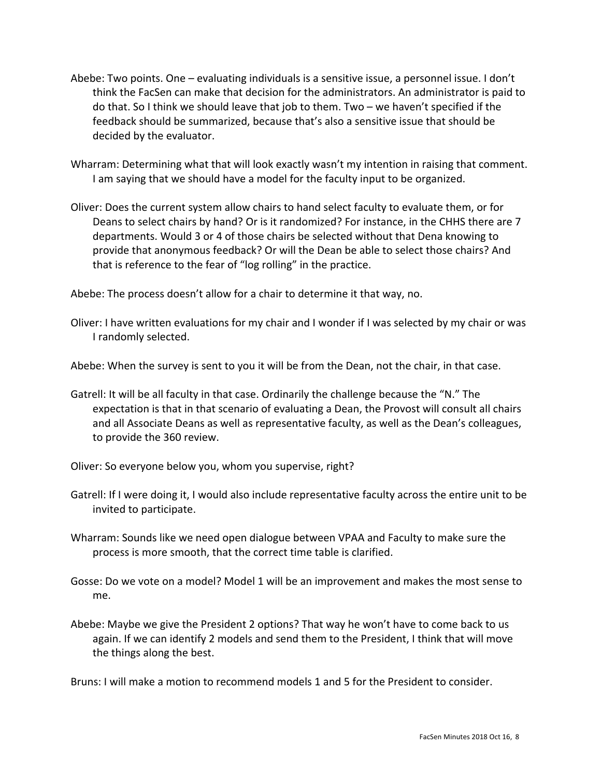- Abebe: Two points. One evaluating individuals is a sensitive issue, a personnel issue. I don't think the FacSen can make that decision for the administrators. An administrator is paid to do that. So I think we should leave that job to them. Two – we haven't specified if the feedback should be summarized, because that's also a sensitive issue that should be decided by the evaluator.
- Wharram: Determining what that will look exactly wasn't my intention in raising that comment. I am saying that we should have a model for the faculty input to be organized.
- Oliver: Does the current system allow chairs to hand select faculty to evaluate them, or for Deans to select chairs by hand? Or is it randomized? For instance, in the CHHS there are 7 departments. Would 3 or 4 of those chairs be selected without that Dena knowing to provide that anonymous feedback? Or will the Dean be able to select those chairs? And that is reference to the fear of "log rolling" in the practice.

Abebe: The process doesn't allow for a chair to determine it that way, no.

Oliver: I have written evaluations for my chair and I wonder if I was selected by my chair or was I randomly selected.

Abebe: When the survey is sent to you it will be from the Dean, not the chair, in that case.

- Gatrell: It will be all faculty in that case. Ordinarily the challenge because the "N." The expectation is that in that scenario of evaluating a Dean, the Provost will consult all chairs and all Associate Deans as well as representative faculty, as well as the Dean's colleagues, to provide the 360 review.
- Oliver: So everyone below you, whom you supervise, right?
- Gatrell: If I were doing it, I would also include representative faculty across the entire unit to be invited to participate.
- Wharram: Sounds like we need open dialogue between VPAA and Faculty to make sure the process is more smooth, that the correct time table is clarified.
- Gosse: Do we vote on a model? Model 1 will be an improvement and makes the most sense to me.
- Abebe: Maybe we give the President 2 options? That way he won't have to come back to us again. If we can identify 2 models and send them to the President, I think that will move the things along the best.

Bruns: I will make a motion to recommend models 1 and 5 for the President to consider.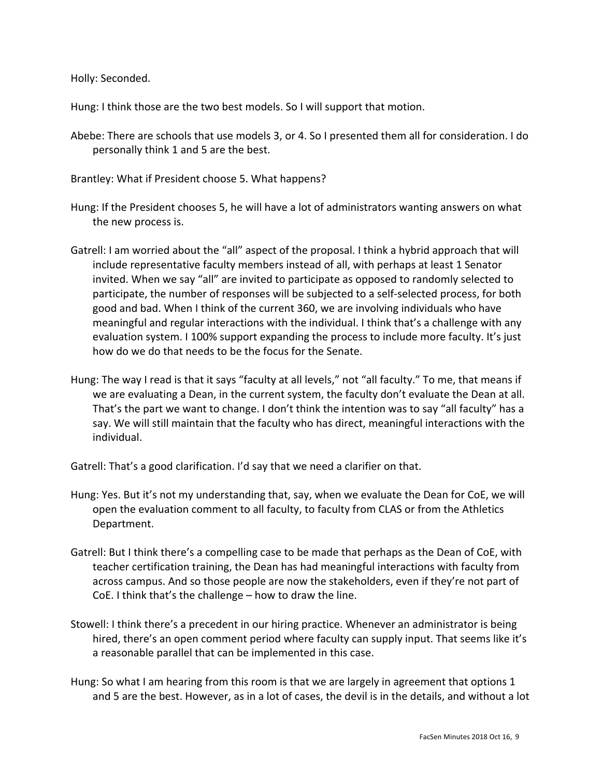Holly: Seconded.

Hung: I think those are the two best models. So I will support that motion.

- Abebe: There are schools that use models 3, or 4. So I presented them all for consideration. I do personally think 1 and 5 are the best.
- Brantley: What if President choose 5. What happens?
- Hung: If the President chooses 5, he will have a lot of administrators wanting answers on what the new process is.
- Gatrell: I am worried about the "all" aspect of the proposal. I think a hybrid approach that will include representative faculty members instead of all, with perhaps at least 1 Senator invited. When we say "all" are invited to participate as opposed to randomly selected to participate, the number of responses will be subjected to a self-selected process, for both good and bad. When I think of the current 360, we are involving individuals who have meaningful and regular interactions with the individual. I think that's a challenge with any evaluation system. I 100% support expanding the process to include more faculty. It's just how do we do that needs to be the focus for the Senate.
- Hung: The way I read is that it says "faculty at all levels," not "all faculty." To me, that means if we are evaluating a Dean, in the current system, the faculty don't evaluate the Dean at all. That's the part we want to change. I don't think the intention was to say "all faculty" has a say. We will still maintain that the faculty who has direct, meaningful interactions with the individual.
- Gatrell: That's a good clarification. I'd say that we need a clarifier on that.
- Hung: Yes. But it's not my understanding that, say, when we evaluate the Dean for CoE, we will open the evaluation comment to all faculty, to faculty from CLAS or from the Athletics Department.
- Gatrell: But I think there's a compelling case to be made that perhaps as the Dean of CoE, with teacher certification training, the Dean has had meaningful interactions with faculty from across campus. And so those people are now the stakeholders, even if they're not part of CoE. I think that's the challenge – how to draw the line.
- Stowell: I think there's a precedent in our hiring practice. Whenever an administrator is being hired, there's an open comment period where faculty can supply input. That seems like it's a reasonable parallel that can be implemented in this case.
- Hung: So what I am hearing from this room is that we are largely in agreement that options 1 and 5 are the best. However, as in a lot of cases, the devil is in the details, and without a lot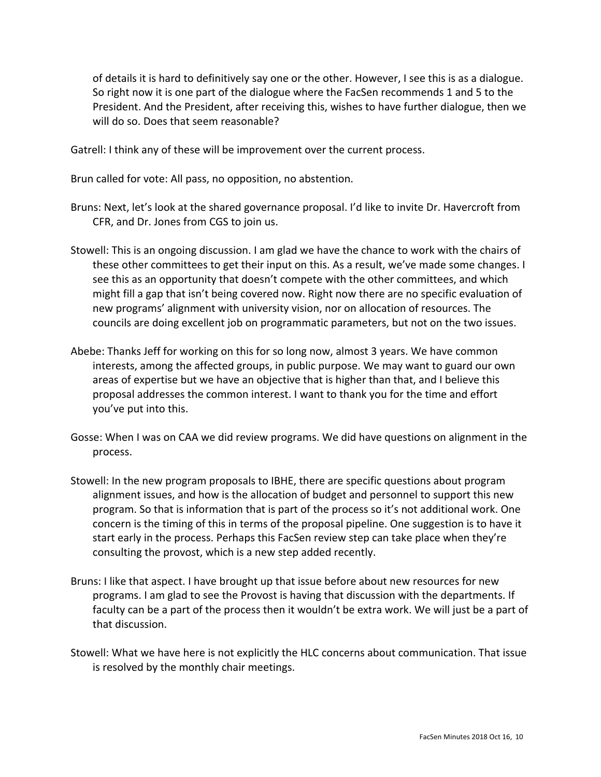of details it is hard to definitively say one or the other. However, I see this is as a dialogue. So right now it is one part of the dialogue where the FacSen recommends 1 and 5 to the President. And the President, after receiving this, wishes to have further dialogue, then we will do so. Does that seem reasonable?

Gatrell: I think any of these will be improvement over the current process.

Brun called for vote: All pass, no opposition, no abstention.

- Bruns: Next, let's look at the shared governance proposal. I'd like to invite Dr. Havercroft from CFR, and Dr. Jones from CGS to join us.
- Stowell: This is an ongoing discussion. I am glad we have the chance to work with the chairs of these other committees to get their input on this. As a result, we've made some changes. I see this as an opportunity that doesn't compete with the other committees, and which might fill a gap that isn't being covered now. Right now there are no specific evaluation of new programs' alignment with university vision, nor on allocation of resources. The councils are doing excellent job on programmatic parameters, but not on the two issues.
- Abebe: Thanks Jeff for working on this for so long now, almost 3 years. We have common interests, among the affected groups, in public purpose. We may want to guard our own areas of expertise but we have an objective that is higher than that, and I believe this proposal addresses the common interest. I want to thank you for the time and effort you've put into this.
- Gosse: When I was on CAA we did review programs. We did have questions on alignment in the process.
- Stowell: In the new program proposals to IBHE, there are specific questions about program alignment issues, and how is the allocation of budget and personnel to support this new program. So that is information that is part of the process so it's not additional work. One concern is the timing of this in terms of the proposal pipeline. One suggestion is to have it start early in the process. Perhaps this FacSen review step can take place when they're consulting the provost, which is a new step added recently.
- Bruns: I like that aspect. I have brought up that issue before about new resources for new programs. I am glad to see the Provost is having that discussion with the departments. If faculty can be a part of the process then it wouldn't be extra work. We will just be a part of that discussion.
- Stowell: What we have here is not explicitly the HLC concerns about communication. That issue is resolved by the monthly chair meetings.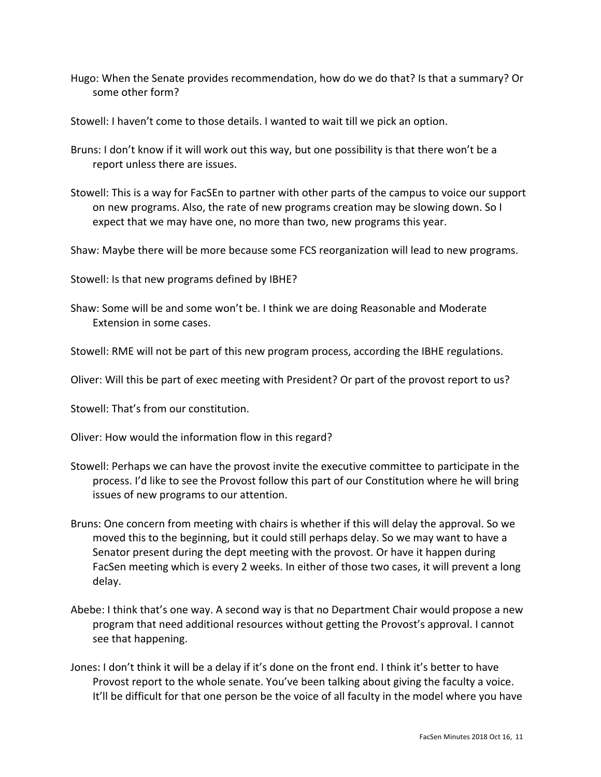- Hugo: When the Senate provides recommendation, how do we do that? Is that a summary? Or some other form?
- Stowell: I haven't come to those details. I wanted to wait till we pick an option.
- Bruns: I don't know if it will work out this way, but one possibility is that there won't be a report unless there are issues.
- Stowell: This is a way for FacSEn to partner with other parts of the campus to voice our support on new programs. Also, the rate of new programs creation may be slowing down. So I expect that we may have one, no more than two, new programs this year.
- Shaw: Maybe there will be more because some FCS reorganization will lead to new programs.

Stowell: Is that new programs defined by IBHE?

Shaw: Some will be and some won't be. I think we are doing Reasonable and Moderate Extension in some cases.

Stowell: RME will not be part of this new program process, according the IBHE regulations.

- Oliver: Will this be part of exec meeting with President? Or part of the provost report to us?
- Stowell: That's from our constitution.
- Oliver: How would the information flow in this regard?
- Stowell: Perhaps we can have the provost invite the executive committee to participate in the process. I'd like to see the Provost follow this part of our Constitution where he will bring issues of new programs to our attention.
- Bruns: One concern from meeting with chairs is whether if this will delay the approval. So we moved this to the beginning, but it could still perhaps delay. So we may want to have a Senator present during the dept meeting with the provost. Or have it happen during FacSen meeting which is every 2 weeks. In either of those two cases, it will prevent a long delay.
- Abebe: I think that's one way. A second way is that no Department Chair would propose a new program that need additional resources without getting the Provost's approval. I cannot see that happening.
- Jones: I don't think it will be a delay if it's done on the front end. I think it's better to have Provost report to the whole senate. You've been talking about giving the faculty a voice. It'll be difficult for that one person be the voice of all faculty in the model where you have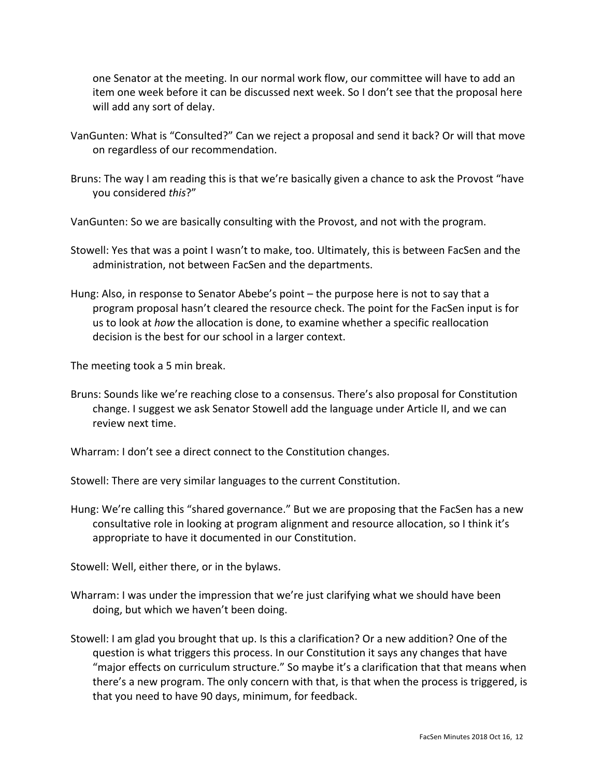one Senator at the meeting. In our normal work flow, our committee will have to add an item one week before it can be discussed next week. So I don't see that the proposal here will add any sort of delay.

- VanGunten: What is "Consulted?" Can we reject a proposal and send it back? Or will that move on regardless of our recommendation.
- Bruns: The way I am reading this is that we're basically given a chance to ask the Provost "have you considered *this*?"

VanGunten: So we are basically consulting with the Provost, and not with the program.

- Stowell: Yes that was a point I wasn't to make, too. Ultimately, this is between FacSen and the administration, not between FacSen and the departments.
- Hung: Also, in response to Senator Abebe's point the purpose here is not to say that a program proposal hasn't cleared the resource check. The point for the FacSen input is for us to look at *how* the allocation is done, to examine whether a specific reallocation decision is the best for our school in a larger context.

The meeting took a 5 min break.

Bruns: Sounds like we're reaching close to a consensus. There's also proposal for Constitution change. I suggest we ask Senator Stowell add the language under Article II, and we can review next time.

Wharram: I don't see a direct connect to the Constitution changes.

Stowell: There are very similar languages to the current Constitution.

Hung: We're calling this "shared governance." But we are proposing that the FacSen has a new consultative role in looking at program alignment and resource allocation, so I think it's appropriate to have it documented in our Constitution.

Stowell: Well, either there, or in the bylaws.

- Wharram: I was under the impression that we're just clarifying what we should have been doing, but which we haven't been doing.
- Stowell: I am glad you brought that up. Is this a clarification? Or a new addition? One of the question is what triggers this process. In our Constitution it says any changes that have "major effects on curriculum structure." So maybe it's a clarification that that means when there's a new program. The only concern with that, is that when the process is triggered, is that you need to have 90 days, minimum, for feedback.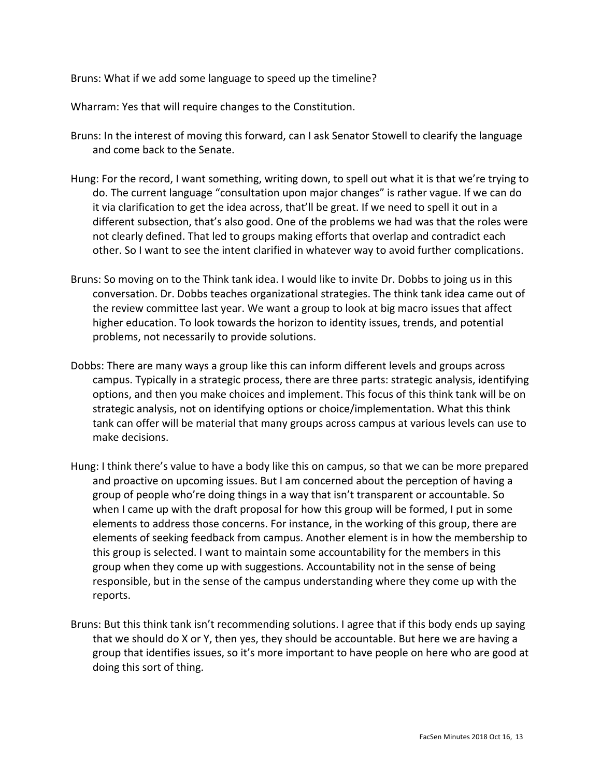Bruns: What if we add some language to speed up the timeline?

Wharram: Yes that will require changes to the Constitution.

- Bruns: In the interest of moving this forward, can I ask Senator Stowell to clearify the language and come back to the Senate.
- Hung: For the record, I want something, writing down, to spell out what it is that we're trying to do. The current language "consultation upon major changes" is rather vague. If we can do it via clarification to get the idea across, that'll be great. If we need to spell it out in a different subsection, that's also good. One of the problems we had was that the roles were not clearly defined. That led to groups making efforts that overlap and contradict each other. So I want to see the intent clarified in whatever way to avoid further complications.
- Bruns: So moving on to the Think tank idea. I would like to invite Dr. Dobbs to joing us in this conversation. Dr. Dobbs teaches organizational strategies. The think tank idea came out of the review committee last year. We want a group to look at big macro issues that affect higher education. To look towards the horizon to identity issues, trends, and potential problems, not necessarily to provide solutions.
- Dobbs: There are many ways a group like this can inform different levels and groups across campus. Typically in a strategic process, there are three parts: strategic analysis, identifying options, and then you make choices and implement. This focus of this think tank will be on strategic analysis, not on identifying options or choice/implementation. What this think tank can offer will be material that many groups across campus at various levels can use to make decisions.
- Hung: I think there's value to have a body like this on campus, so that we can be more prepared and proactive on upcoming issues. But I am concerned about the perception of having a group of people who're doing things in a way that isn't transparent or accountable. So when I came up with the draft proposal for how this group will be formed, I put in some elements to address those concerns. For instance, in the working of this group, there are elements of seeking feedback from campus. Another element is in how the membership to this group is selected. I want to maintain some accountability for the members in this group when they come up with suggestions. Accountability not in the sense of being responsible, but in the sense of the campus understanding where they come up with the reports.
- Bruns: But this think tank isn't recommending solutions. I agree that if this body ends up saying that we should do X or Y, then yes, they should be accountable. But here we are having a group that identifies issues, so it's more important to have people on here who are good at doing this sort of thing.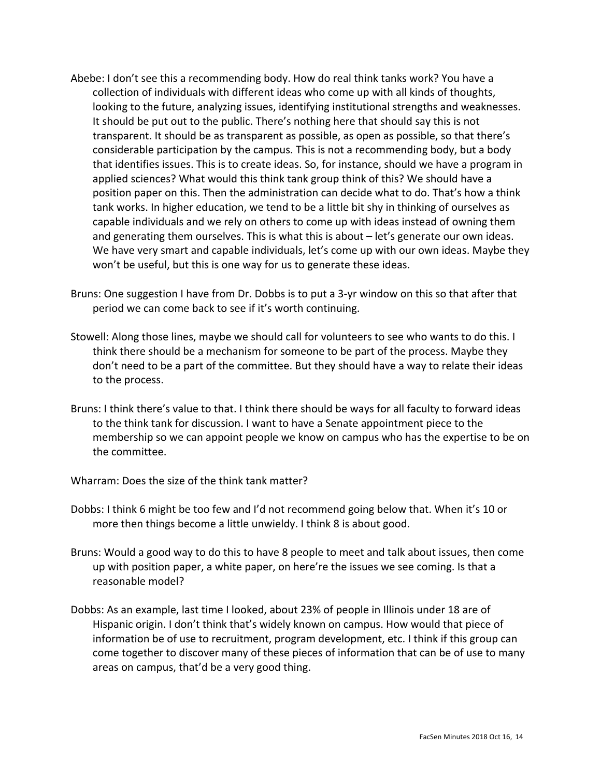- Abebe: I don't see this a recommending body. How do real think tanks work? You have a collection of individuals with different ideas who come up with all kinds of thoughts, looking to the future, analyzing issues, identifying institutional strengths and weaknesses. It should be put out to the public. There's nothing here that should say this is not transparent. It should be as transparent as possible, as open as possible, so that there's considerable participation by the campus. This is not a recommending body, but a body that identifies issues. This is to create ideas. So, for instance, should we have a program in applied sciences? What would this think tank group think of this? We should have a position paper on this. Then the administration can decide what to do. That's how a think tank works. In higher education, we tend to be a little bit shy in thinking of ourselves as capable individuals and we rely on others to come up with ideas instead of owning them and generating them ourselves. This is what this is about – let's generate our own ideas. We have very smart and capable individuals, let's come up with our own ideas. Maybe they won't be useful, but this is one way for us to generate these ideas.
- Bruns: One suggestion I have from Dr. Dobbs is to put a 3-yr window on this so that after that period we can come back to see if it's worth continuing.
- Stowell: Along those lines, maybe we should call for volunteers to see who wants to do this. I think there should be a mechanism for someone to be part of the process. Maybe they don't need to be a part of the committee. But they should have a way to relate their ideas to the process.
- Bruns: I think there's value to that. I think there should be ways for all faculty to forward ideas to the think tank for discussion. I want to have a Senate appointment piece to the membership so we can appoint people we know on campus who has the expertise to be on the committee.
- Wharram: Does the size of the think tank matter?
- Dobbs: I think 6 might be too few and I'd not recommend going below that. When it's 10 or more then things become a little unwieldy. I think 8 is about good.
- Bruns: Would a good way to do this to have 8 people to meet and talk about issues, then come up with position paper, a white paper, on here're the issues we see coming. Is that a reasonable model?
- Dobbs: As an example, last time I looked, about 23% of people in Illinois under 18 are of Hispanic origin. I don't think that's widely known on campus. How would that piece of information be of use to recruitment, program development, etc. I think if this group can come together to discover many of these pieces of information that can be of use to many areas on campus, that'd be a very good thing.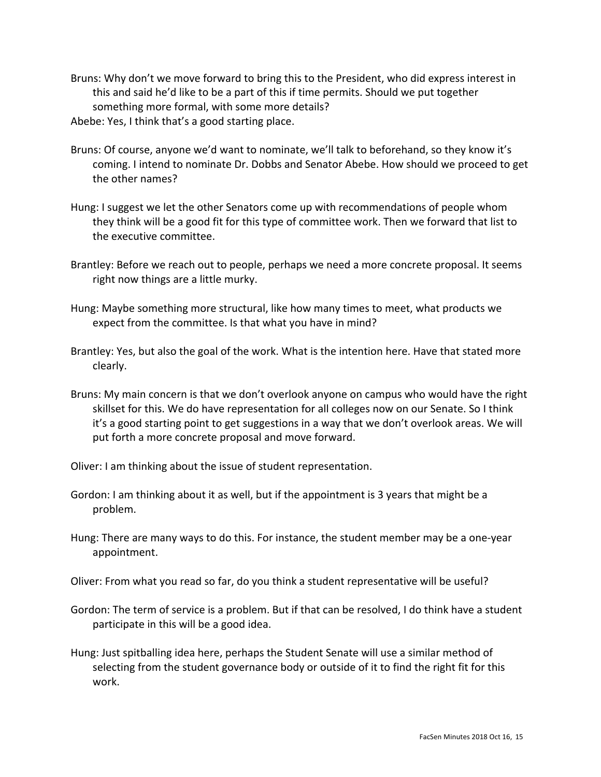Bruns: Why don't we move forward to bring this to the President, who did express interest in this and said he'd like to be a part of this if time permits. Should we put together something more formal, with some more details?

Abebe: Yes, I think that's a good starting place.

- Bruns: Of course, anyone we'd want to nominate, we'll talk to beforehand, so they know it's coming. I intend to nominate Dr. Dobbs and Senator Abebe. How should we proceed to get the other names?
- Hung: I suggest we let the other Senators come up with recommendations of people whom they think will be a good fit for this type of committee work. Then we forward that list to the executive committee.
- Brantley: Before we reach out to people, perhaps we need a more concrete proposal. It seems right now things are a little murky.
- Hung: Maybe something more structural, like how many times to meet, what products we expect from the committee. Is that what you have in mind?
- Brantley: Yes, but also the goal of the work. What is the intention here. Have that stated more clearly.
- Bruns: My main concern is that we don't overlook anyone on campus who would have the right skillset for this. We do have representation for all colleges now on our Senate. So I think it's a good starting point to get suggestions in a way that we don't overlook areas. We will put forth a more concrete proposal and move forward.

Oliver: I am thinking about the issue of student representation.

- Gordon: I am thinking about it as well, but if the appointment is 3 years that might be a problem.
- Hung: There are many ways to do this. For instance, the student member may be a one-year appointment.

Oliver: From what you read so far, do you think a student representative will be useful?

- Gordon: The term of service is a problem. But if that can be resolved, I do think have a student participate in this will be a good idea.
- Hung: Just spitballing idea here, perhaps the Student Senate will use a similar method of selecting from the student governance body or outside of it to find the right fit for this work.